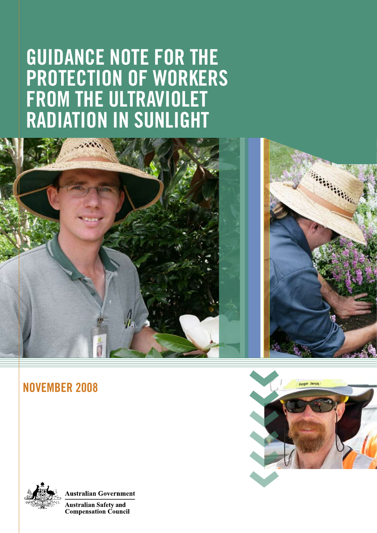# **GUIDANCE NOTE FOR THE PROTECTION OF WORKERS FROM THE ULTRAVIOLET RADIATION IN SUNLIGHT**



## **NOVEMBER 2008**





**Australian Government** 

**Australian Safety and Compensation Council**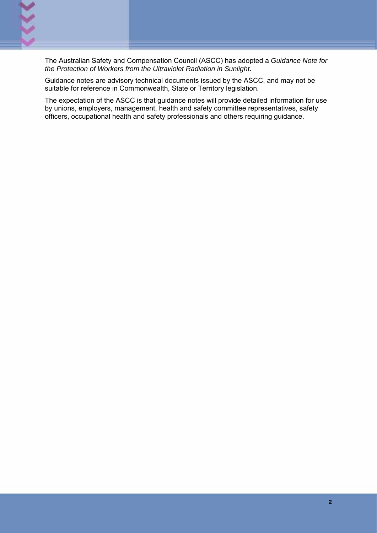The Australian Safety and Compensation Council (ASCC) has adopted a *Guidance Note for the Protection of Workers from the Ultraviolet Radiation in Sunlight*.

Guidance notes are advisory technical documents issued by the ASCC, and may not be suitable for reference in Commonwealth, State or Territory legislation.

The expectation of the ASCC is that guidance notes will provide detailed information for use by unions, employers, management, health and safety committee representatives, safety officers, occupational health and safety professionals and others requiring guidance.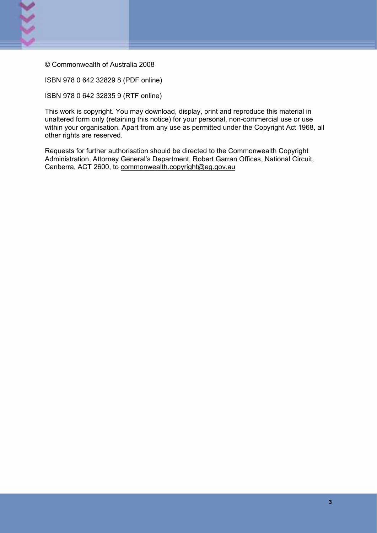

© Commonwealth of Australia 2008

ISBN 978 0 642 32829 8 (PDF online)

ISBN 978 0 642 32835 9 (RTF online)

This work is copyright. You may download, display, print and reproduce this material in unaltered form only (retaining this notice) for your personal, non-commercial use or use within your organisation. Apart from any use as permitted under the Copyright Act 1968, all other rights are reserved.

Requests for further authorisation should be directed to the Commonwealth Copyright Administration, Attorney General's Department, Robert Garran Offices, National Circuit, Canberra, ACT 2600, to commonwealth.copyright@ag.gov.au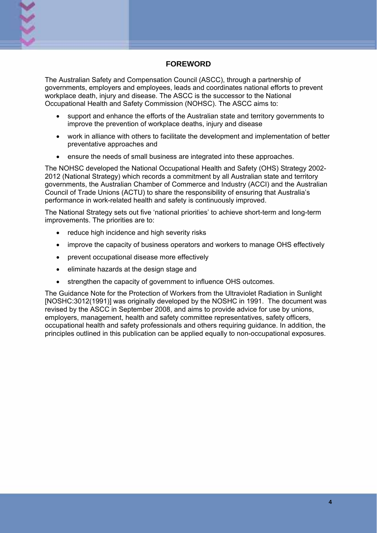

#### **FOREWORD**

The Australian Safety and Compensation Council (ASCC), through a partnership of governments, employers and employees, leads and coordinates national efforts to prevent workplace death, injury and disease. The ASCC is the successor to the National Occupational Health and Safety Commission (NOHSC). The ASCC aims to:

- support and enhance the efforts of the Australian state and territory governments to improve the prevention of workplace deaths, injury and disease
- work in alliance with others to facilitate the development and implementation of better preventative approaches and
- ensure the needs of small business are integrated into these approaches.

The NOHSC developed the National Occupational Health and Safety (OHS) Strategy 2002- 2012 (National Strategy) which records a commitment by all Australian state and territory governments, the Australian Chamber of Commerce and Industry (ACCI) and the Australian Council of Trade Unions (ACTU) to share the responsibility of ensuring that Australia's performance in work-related health and safety is continuously improved.

The National Strategy sets out five 'national priorities' to achieve short-term and long-term improvements. The priorities are to:

- reduce high incidence and high severity risks
- improve the capacity of business operators and workers to manage OHS effectively
- prevent occupational disease more effectively
- eliminate hazards at the design stage and
- strengthen the capacity of government to influence OHS outcomes.

The Guidance Note for the Protection of Workers from the Ultraviolet Radiation in Sunlight [NOSHC:3012(1991)] was originally developed by the NOSHC in 1991. The document was revised by the ASCC in September 2008, and aims to provide advice for use by unions, employers, management, health and safety committee representatives, safety officers, occupational health and safety professionals and others requiring guidance. In addition, the principles outlined in this publication can be applied equally to non-occupational exposures.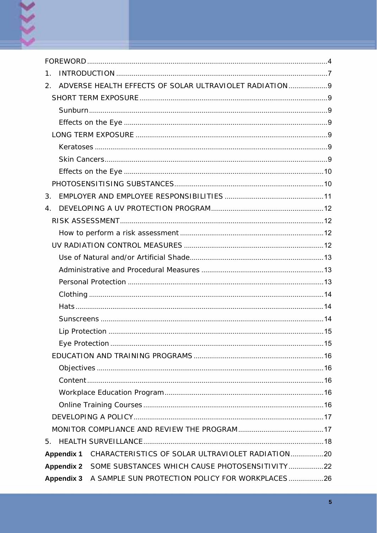| 1.                |                                                         |
|-------------------|---------------------------------------------------------|
| 2.                | ADVERSE HEALTH EFFECTS OF SOLAR ULTRAVIOLET RADIATION 9 |
|                   |                                                         |
|                   |                                                         |
|                   |                                                         |
|                   |                                                         |
|                   |                                                         |
|                   |                                                         |
|                   |                                                         |
|                   |                                                         |
| 3.                |                                                         |
| $\overline{4}$ .  |                                                         |
|                   |                                                         |
|                   |                                                         |
|                   |                                                         |
|                   |                                                         |
|                   |                                                         |
|                   |                                                         |
|                   |                                                         |
|                   |                                                         |
|                   |                                                         |
|                   |                                                         |
|                   |                                                         |
|                   |                                                         |
|                   |                                                         |
|                   |                                                         |
|                   |                                                         |
|                   |                                                         |
|                   |                                                         |
|                   |                                                         |
| 5.                |                                                         |
| <b>Appendix 1</b> | CHARACTERISTICS OF SOLAR ULTRAVIOLET RADIATION20        |
| <b>Appendix 2</b> | SOME SUBSTANCES WHICH CAUSE PHOTOSENSITIVITY22          |
| <b>Appendix 3</b> | A SAMPLE SUN PROTECTION POLICY FOR WORKPLACES26         |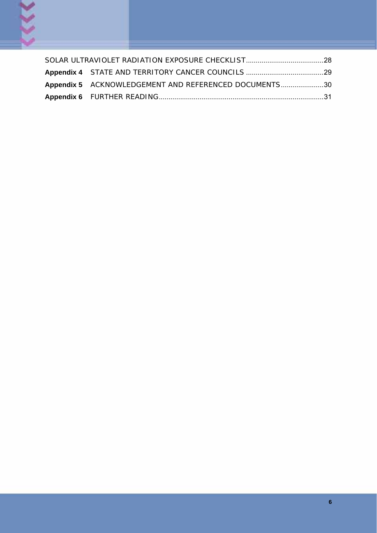

| Appendix 5 ACKNOWLEDGEMENT AND REFERENCED DOCUMENTS30 |  |
|-------------------------------------------------------|--|
|                                                       |  |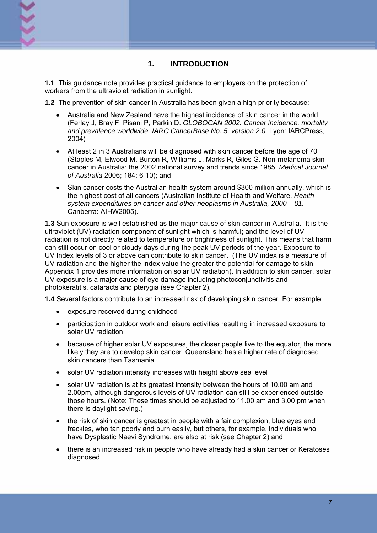

**1.1** This guidance note provides practical guidance to employers on the protection of workers from the ultraviolet radiation in sunlight.

**1.2** The prevention of skin cancer in Australia has been given a high priority because:

- Australia and New Zealand have the highest incidence of skin cancer in the world (Ferlay J, Bray F, Pisani P, Parkin D. *GLOBOCAN 2002. Cancer incidence, mortality and prevalence worldwide. IARC CancerBase No. 5, version 2.0.* Lyon: IARCPress, 2004)
- At least 2 in 3 Australians will be diagnosed with skin cancer before the age of 70 (Staples M, Elwood M, Burton R, Williams J, Marks R, Giles G. Non-melanoma skin cancer in Australia: the 2002 national survey and trends since 1985. *Medical Journal of Australia* 2006; 184: 6-10); and
- Skin cancer costs the Australian health system around \$300 million annually, which is the highest cost of all cancers (Australian Institute of Health and Welfare. *Health system expenditures on cancer and other neoplasms in Australia, 2000 – 01.*  Canberra: AIHW2005).

**1.3** Sun exposure is well established as the major cause of skin cancer in Australia. It is the ultraviolet (UV) radiation component of sunlight which is harmful; and the level of UV radiation is not directly related to temperature or brightness of sunlight. This means that harm can still occur on cool or cloudy days during the peak UV periods of the year. Exposure to UV Index levels of 3 or above can contribute to skin cancer. (The UV index is a measure of UV radiation and the higher the index value the greater the potential for damage to skin. Appendix 1 provides more information on solar UV radiation). In addition to skin cancer, solar UV exposure is a major cause of eye damage including photoconjunctivitis and photokeratitis, cataracts and pterygia (see Chapter 2).

**1.4** Several factors contribute to an increased risk of developing skin cancer. For example:

- exposure received during childhood
- participation in outdoor work and leisure activities resulting in increased exposure to solar UV radiation
- because of higher solar UV exposures, the closer people live to the equator, the more likely they are to develop skin cancer. Queensland has a higher rate of diagnosed skin cancers than Tasmania
- solar UV radiation intensity increases with height above sea level
- solar UV radiation is at its greatest intensity between the hours of 10.00 am and 2.00pm, although dangerous levels of UV radiation can still be experienced outside those hours. (Note: These times should be adjusted to 11.00 am and 3.00 pm when there is daylight saving.)
- the risk of skin cancer is greatest in people with a fair complexion, blue eyes and freckles, who tan poorly and burn easily, but others, for example, individuals who have Dysplastic Naevi Syndrome, are also at risk (see Chapter 2) and
- there is an increased risk in people who have already had a skin cancer or Keratoses diagnosed.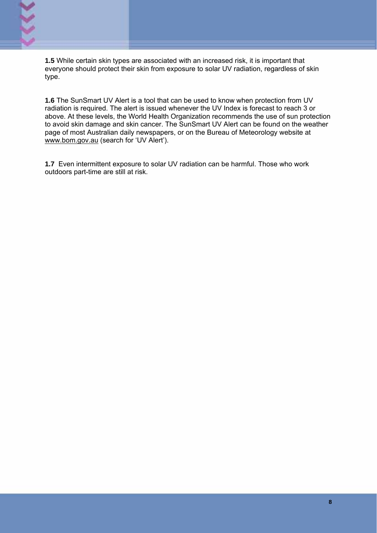

**1.5** While certain skin types are associated with an increased risk, it is important that everyone should protect their skin from exposure to solar UV radiation, regardless of skin type.

**1.6** The SunSmart UV Alert is a tool that can be used to know when protection from UV radiation is required. The alert is issued whenever the UV Index is forecast to reach 3 or above. At these levels, the World Health Organization recommends the use of sun protection to avoid skin damage and skin cancer. The SunSmart UV Alert can be found on the weather page of most Australian daily newspapers, or on the Bureau of Meteorology website at www.bom.gov.au (search for 'UV Alert').

**1.7** Even intermittent exposure to solar UV radiation can be harmful. Those who work outdoors part-time are still at risk.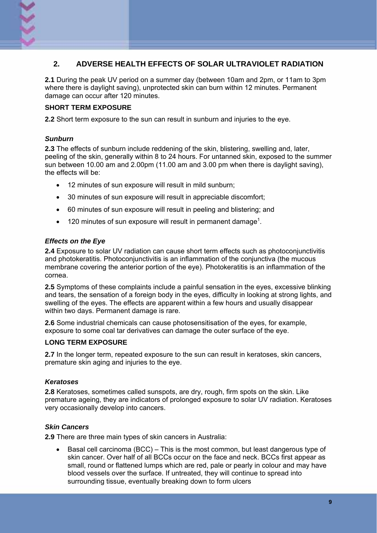

### **2. ADVERSE HEALTH EFFECTS OF SOLAR ULTRAVIOLET RADIATION**

**2.1** During the peak UV period on a summer day (between 10am and 2pm, or 11am to 3pm where there is daylight saving), unprotected skin can burn within 12 minutes. Permanent damage can occur after 120 minutes.

#### **SHORT TERM EXPOSURE**

**2.2** Short term exposure to the sun can result in sunburn and injuries to the eye.

#### *Sunburn*

**2.3** The effects of sunburn include reddening of the skin, blistering, swelling and, later, peeling of the skin, generally within 8 to 24 hours. For untanned skin, exposed to the summer sun between 10.00 am and 2.00pm (11.00 am and 3.00 pm when there is daylight saving), the effects will be:

- 12 minutes of sun exposure will result in mild sunburn;
- 30 minutes of sun exposure will result in appreciable discomfort;
- 60 minutes of sun exposure will result in peeling and blistering; and
- 120 minutes of sun exposure will result in permanent damage<sup>1</sup>.

#### *Effects on the Eye*

**2.4** Exposure to solar UV radiation can cause short term effects such as photoconjunctivitis and photokeratitis. Photoconjunctivitis is an inflammation of the conjunctiva (the mucous membrane covering the anterior portion of the eye). Photokeratitis is an inflammation of the cornea.

**2.5** Symptoms of these complaints include a painful sensation in the eyes, excessive blinking and tears, the sensation of a foreign body in the eyes, difficulty in looking at strong lights, and swelling of the eyes. The effects are apparent within a few hours and usually disappear within two days. Permanent damage is rare.

**2.6** Some industrial chemicals can cause photosensitisation of the eyes, for example, exposure to some coal tar derivatives can damage the outer surface of the eye.

#### **LONG TERM EXPOSURE**

**2.7** In the longer term, repeated exposure to the sun can result in keratoses, skin cancers, premature skin aging and injuries to the eye.

#### *Keratoses*

**2.8** Keratoses, sometimes called sunspots, are dry, rough, firm spots on the skin. Like premature ageing, they are indicators of prolonged exposure to solar UV radiation. Keratoses very occasionally develop into cancers.

#### *Skin Cancers*

**2.9** There are three main types of skin cancers in Australia:

• Basal cell carcinoma (BCC) – This is the most common, but least dangerous type of skin cancer. Over half of all BCCs occur on the face and neck. BCCs first appear as small, round or flattened lumps which are red, pale or pearly in colour and may have blood vessels over the surface. If untreated, they will continue to spread into surrounding tissue, eventually breaking down to form ulcers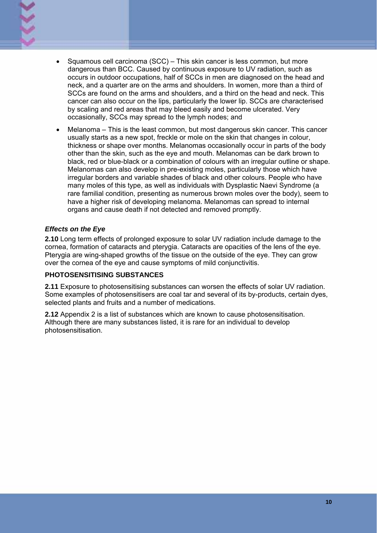- 
- Squamous cell carcinoma (SCC) This skin cancer is less common, but more dangerous than BCC. Caused by continuous exposure to UV radiation, such as occurs in outdoor occupations, half of SCCs in men are diagnosed on the head and neck, and a quarter are on the arms and shoulders. In women, more than a third of SCCs are found on the arms and shoulders, and a third on the head and neck. This cancer can also occur on the lips, particularly the lower lip. SCCs are characterised by scaling and red areas that may bleed easily and become ulcerated. Very occasionally, SCCs may spread to the lymph nodes; and
- Melanoma This is the least common, but most dangerous skin cancer. This cancer usually starts as a new spot, freckle or mole on the skin that changes in colour, thickness or shape over months. Melanomas occasionally occur in parts of the body other than the skin, such as the eye and mouth. Melanomas can be dark brown to black, red or blue-black or a combination of colours with an irregular outline or shape. Melanomas can also develop in pre-existing moles, particularly those which have irregular borders and variable shades of black and other colours. People who have many moles of this type, as well as individuals with Dysplastic Naevi Syndrome (a rare familial condition, presenting as numerous brown moles over the body), seem to have a higher risk of developing melanoma. Melanomas can spread to internal organs and cause death if not detected and removed promptly.

#### *Effects on the Eye*

**2.10** Long term effects of prolonged exposure to solar UV radiation include damage to the cornea, formation of cataracts and pterygia. Cataracts are opacities of the lens of the eye. Pterygia are wing-shaped growths of the tissue on the outside of the eye. They can grow over the cornea of the eye and cause symptoms of mild conjunctivitis.

#### **PHOTOSENSITISING SUBSTANCES**

**2.11** Exposure to photosensitising substances can worsen the effects of solar UV radiation. Some examples of photosensitisers are coal tar and several of its by-products, certain dyes, selected plants and fruits and a number of medications.

**2.12** Appendix 2 is a list of substances which are known to cause photosensitisation. Although there are many substances listed, it is rare for an individual to develop photosensitisation.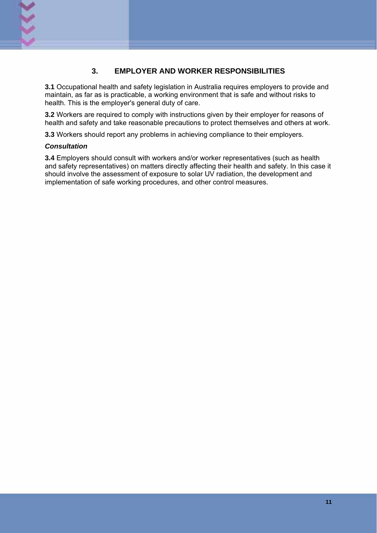

#### **3. EMPLOYER AND WORKER RESPONSIBILITIES**

**3.1** Occupational health and safety legislation in Australia requires employers to provide and maintain, as far as is practicable, a working environment that is safe and without risks to health. This is the employer's general duty of care.

**3.2** Workers are required to comply with instructions given by their employer for reasons of health and safety and take reasonable precautions to protect themselves and others at work.

**3.3** Workers should report any problems in achieving compliance to their employers.

#### *Consultation*

**3.4** Employers should consult with workers and/or worker representatives (such as health and safety representatives) on matters directly affecting their health and safety. In this case it should involve the assessment of exposure to solar UV radiation, the development and implementation of safe working procedures, and other control measures.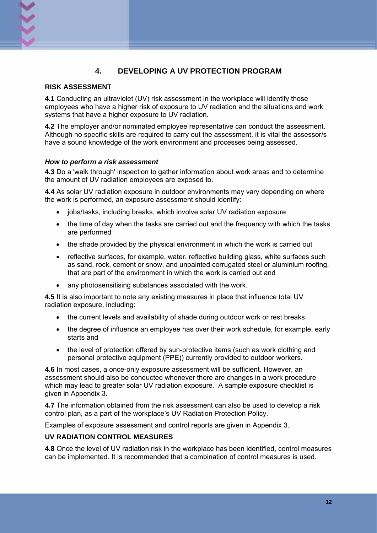## **4. DEVELOPING A UV PROTECTION PROGRAM**

#### **RISK ASSESSMENT**

**4.1** Conducting an ultraviolet (UV) risk assessment in the workplace will identify those employees who have a higher risk of exposure to UV radiation and the situations and work systems that have a higher exposure to UV radiation.

**4.2** The employer and/or nominated employee representative can conduct the assessment. Although no specific skills are required to carry out the assessment, it is vital the assessor/s have a sound knowledge of the work environment and processes being assessed.

#### *How to perform a risk assessment*

**4.3** Do a 'walk through' inspection to gather information about work areas and to determine the amount of UV radiation employees are exposed to.

**4.4** As solar UV radiation exposure in outdoor environments may vary depending on where the work is performed, an exposure assessment should identify:

- jobs/tasks, including breaks, which involve solar UV radiation exposure
- the time of day when the tasks are carried out and the frequency with which the tasks are performed
- the shade provided by the physical environment in which the work is carried out
- reflective surfaces, for example, water, reflective building glass, white surfaces such as sand, rock, cement or snow, and unpainted corrugated steel or aluminium roofing, that are part of the environment in which the work is carried out and
- any photosensitising substances associated with the work.

**4.5** It is also important to note any existing measures in place that influence total UV radiation exposure, including:

- the current levels and availability of shade during outdoor work or rest breaks
- the degree of influence an employee has over their work schedule, for example, early starts and
- the level of protection offered by sun-protective items (such as work clothing and personal protective equipment (PPE)) currently provided to outdoor workers.

**4.6** In most cases, a once-only exposure assessment will be sufficient. However, an assessment should also be conducted whenever there are changes in a work procedure which may lead to greater solar UV radiation exposure. A sample exposure checklist is given in Appendix 3.

**4.7** The information obtained from the risk assessment can also be used to develop a risk control plan, as a part of the workplace's UV Radiation Protection Policy.

Examples of exposure assessment and control reports are given in Appendix 3.

#### **UV RADIATION CONTROL MEASURES**

**4.8** Once the level of UV radiation risk in the workplace has been identified, control measures can be implemented. It is recommended that a combination of control measures is used.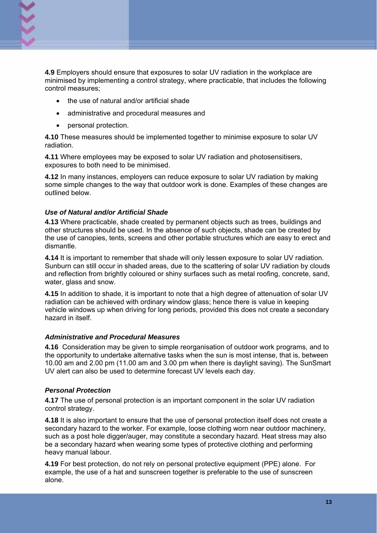

**4.9** Employers should ensure that exposures to solar UV radiation in the workplace are minimised by implementing a control strategy, where practicable, that includes the following control measures;

- the use of natural and/or artificial shade
- administrative and procedural measures and
- personal protection.

**4.10** These measures should be implemented together to minimise exposure to solar UV radiation.

**4.11** Where employees may be exposed to solar UV radiation and photosensitisers, exposures to both need to be minimised.

**4.12** In many instances, employers can reduce exposure to solar UV radiation by making some simple changes to the way that outdoor work is done. Examples of these changes are outlined below.

#### *Use of Natural and/or Artificial Shade*

**4.13** Where practicable, shade created by permanent objects such as trees, buildings and other structures should be used. In the absence of such objects, shade can be created by the use of canopies, tents, screens and other portable structures which are easy to erect and dismantle.

**4.14** It is important to remember that shade will only lessen exposure to solar UV radiation. Sunburn can still occur in shaded areas, due to the scattering of solar UV radiation by clouds and reflection from brightly coloured or shiny surfaces such as metal roofing, concrete, sand, water, glass and snow.

**4.15** In addition to shade, it is important to note that a high degree of attenuation of solar UV radiation can be achieved with ordinary window glass; hence there is value in keeping vehicle windows up when driving for long periods, provided this does not create a secondary hazard in itself.

#### *Administrative and Procedural Measures*

**4.16** Consideration may be given to simple reorganisation of outdoor work programs, and to the opportunity to undertake alternative tasks when the sun is most intense, that is, between 10.00 am and 2.00 pm (11.00 am and 3.00 pm when there is daylight saving). The SunSmart UV alert can also be used to determine forecast UV levels each day.

#### *Personal Protection*

**4.17** The use of personal protection is an important component in the solar UV radiation control strategy.

**4.18** It is also important to ensure that the use of personal protection itself does not create a secondary hazard to the worker. For example, loose clothing worn near outdoor machinery, such as a post hole digger/auger, may constitute a secondary hazard. Heat stress may also be a secondary hazard when wearing some types of protective clothing and performing heavy manual labour.

**4.19** For best protection, do not rely on personal protective equipment (PPE) alone. For example, the use of a hat and sunscreen together is preferable to the use of sunscreen alone.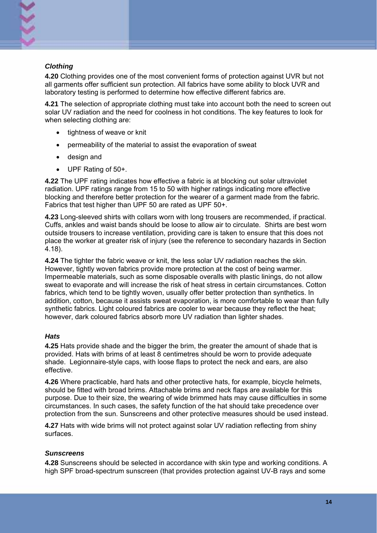

#### *Clothing*

**4.20** Clothing provides one of the most convenient forms of protection against UVR but not all garments offer sufficient sun protection. All fabrics have some ability to block UVR and laboratory testing is performed to determine how effective different fabrics are.

**4.21** The selection of appropriate clothing must take into account both the need to screen out solar UV radiation and the need for coolness in hot conditions. The key features to look for when selecting clothing are:

- tightness of weave or knit
- permeability of the material to assist the evaporation of sweat
- design and
- UPF Rating of 50+.

**4.22** The UPF rating indicates how effective a fabric is at blocking out solar ultraviolet radiation. UPF ratings range from 15 to 50 with higher ratings indicating more effective blocking and therefore better protection for the wearer of a garment made from the fabric. Fabrics that test higher than UPF 50 are rated as UPF 50+.

**4.23** Long-sleeved shirts with collars worn with long trousers are recommended, if practical. Cuffs, ankles and waist bands should be loose to allow air to circulate. Shirts are best worn outside trousers to increase ventilation, providing care is taken to ensure that this does not place the worker at greater risk of injury (see the reference to secondary hazards in Section 4.18).

**4.24** The tighter the fabric weave or knit, the less solar UV radiation reaches the skin. However, tightly woven fabrics provide more protection at the cost of being warmer. Impermeable materials, such as some disposable overalls with plastic linings, do not allow sweat to evaporate and will increase the risk of heat stress in certain circumstances. Cotton fabrics, which tend to be tightly woven, usually offer better protection than synthetics. In addition, cotton, because it assists sweat evaporation, is more comfortable to wear than fully synthetic fabrics. Light coloured fabrics are cooler to wear because they reflect the heat; however, dark coloured fabrics absorb more UV radiation than lighter shades.

#### *Hats*

**4.25** Hats provide shade and the bigger the brim, the greater the amount of shade that is provided. Hats with brims of at least 8 centimetres should be worn to provide adequate shade. Legionnaire-style caps, with loose flaps to protect the neck and ears, are also effective.

**4.26** Where practicable, hard hats and other protective hats, for example, bicycle helmets, should be fitted with broad brims. Attachable brims and neck flaps are available for this purpose. Due to their size, the wearing of wide brimmed hats may cause difficulties in some circumstances. In such cases, the safety function of the hat should take precedence over protection from the sun. Sunscreens and other protective measures should be used instead.

**4.27** Hats with wide brims will not protect against solar UV radiation reflecting from shiny surfaces.

#### *Sunscreens*

**4.28** Sunscreens should be selected in accordance with skin type and working conditions. A high SPF broad-spectrum sunscreen (that provides protection against UV-B rays and some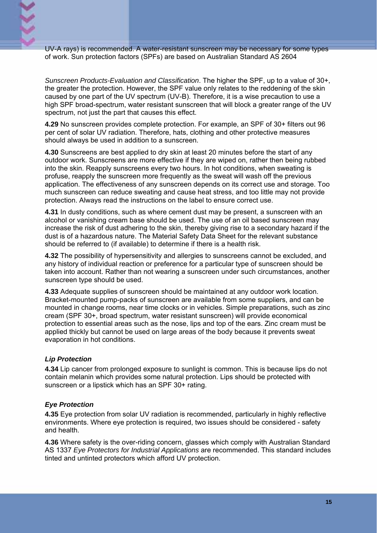

UV-A rays) is recommended. A water-resistant sunscreen may be necessary for some types of work. Sun protection factors (SPFs) are based on Australian Standard AS 2604

*Sunscreen Products-Evaluation and Classification*. The higher the SPF, up to a value of 30+, the greater the protection. However, the SPF value only relates to the reddening of the skin caused by one part of the UV spectrum (UV-B). Therefore, it is a wise precaution to use a high SPF broad-spectrum, water resistant sunscreen that will block a greater range of the UV spectrum, not just the part that causes this effect.

**4.29** No sunscreen provides complete protection. For example, an SPF of 30+ filters out 96 per cent of solar UV radiation. Therefore, hats, clothing and other protective measures should always be used in addition to a sunscreen.

**4.30** Sunscreens are best applied to dry skin at least 20 minutes before the start of any outdoor work. Sunscreens are more effective if they are wiped on, rather then being rubbed into the skin. Reapply sunscreens every two hours. In hot conditions, when sweating is profuse, reapply the sunscreen more frequently as the sweat will wash off the previous application. The effectiveness of any sunscreen depends on its correct use and storage. Too much sunscreen can reduce sweating and cause heat stress, and too little may not provide protection. Always read the instructions on the label to ensure correct use.

**4.31** In dusty conditions, such as where cement dust may be present, a sunscreen with an alcohol or vanishing cream base should be used. The use of an oil based sunscreen may increase the risk of dust adhering to the skin, thereby giving rise to a secondary hazard if the dust is of a hazardous nature. The Material Safety Data Sheet for the relevant substance should be referred to (if available) to determine if there is a health risk.

**4.32** The possibility of hypersensitivity and allergies to sunscreens cannot be excluded, and any history of individual reaction or preference for a particular type of sunscreen should be taken into account. Rather than not wearing a sunscreen under such circumstances, another sunscreen type should be used.

**4.33** Adequate supplies of sunscreen should be maintained at any outdoor work location. Bracket-mounted pump-packs of sunscreen are available from some suppliers, and can be mounted in change rooms, near time clocks or in vehicles. Simple preparations, such as zinc cream (SPF 30+, broad spectrum, water resistant sunscreen) will provide economical protection to essential areas such as the nose, lips and top of the ears. Zinc cream must be applied thickly but cannot be used on large areas of the body because it prevents sweat evaporation in hot conditions.

#### *Lip Protection*

**4.34** Lip cancer from prolonged exposure to sunlight is common. This is because lips do not contain melanin which provides some natural protection. Lips should be protected with sunscreen or a lipstick which has an SPF 30+ rating.

#### *Eye Protection*

**4.35** Eye protection from solar UV radiation is recommended, particularly in highly reflective environments. Where eye protection is required, two issues should be considered - safety and health.

**4.36** Where safety is the over-riding concern, glasses which comply with Australian Standard AS 1337 *Eye Protectors for Industrial Applications* are recommended. This standard includes tinted and untinted protectors which afford UV protection.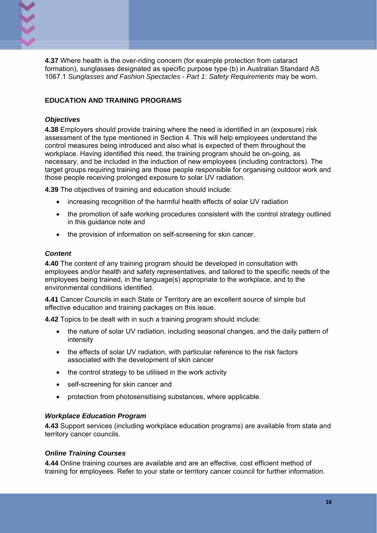

**4.37** Where health is the over-riding concern (for example protection from cataract formation), sunglasses designated as specific purpose type (b) in Australian Standard AS 1067.1 *Sunglasses and Fashion Spectacles - Part 1: Safety Requirements* may be worn.

#### **EDUCATION AND TRAINING PROGRAMS**

#### *Objectives*

**4.38** Employers should provide training where the need is identified in an (exposure) risk assessment of the type mentioned in Section 4. This will help employees understand the control measures being introduced and also what is expected of them throughout the workplace. Having identified this need, the training program should be on-going, as necessary, and be included in the induction of new employees (including contractors). The target groups requiring training are those people responsible for organising outdoor work and those people receiving prolonged exposure to solar UV radiation.

**4.39** The objectives of training and education should include:

- increasing recognition of the harmful health effects of solar UV radiation
- the promotion of safe working procedures consistent with the control strategy outlined in this guidance note and
- the provision of information on self-screening for skin cancer.

#### *Content*

**4.40** The content of any training program should be developed in consultation with employees and/or health and safety representatives, and tailored to the specific needs of the employees being trained, in the language(s) appropriate to the workplace, and to the environmental conditions identified.

**4.41** Cancer Councils in each State or Territory are an excellent source of simple but effective education and training packages on this issue.

**4.42** Topics to be dealt with in such a training program should include:

- the nature of solar UV radiation, including seasonal changes, and the daily pattern of intensity
- the effects of solar UV radiation, with particular reference to the risk factors associated with the development of skin cancer
- the control strategy to be utilised in the work activity
- self-screening for skin cancer and
- protection from photosensitising substances, where applicable.

#### *Workplace Education Program*

**4.43** Support services (including workplace education programs) are available from state and territory cancer councils.

#### *Online Training Courses*

**4.44** Online training courses are available and are an effective, cost efficient method of training for employees. Refer to your state or territory cancer council for further information.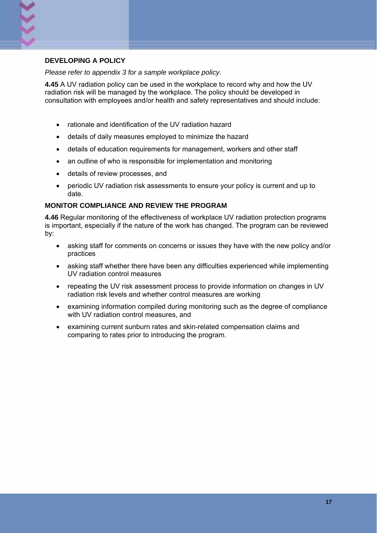

#### **DEVELOPING A POLICY**

*Please refer to appendix 3 for a sample workplace policy.* 

**4.45** A UV radiation policy can be used in the workplace to record why and how the UV radiation risk will be managed by the workplace. The policy should be developed in consultation with employees and/or health and safety representatives and should include:

- rationale and identification of the UV radiation hazard
- details of daily measures employed to minimize the hazard
- details of education requirements for management, workers and other staff
- an outline of who is responsible for implementation and monitoring
- details of review processes, and
- periodic UV radiation risk assessments to ensure your policy is current and up to date.

#### **MONITOR COMPLIANCE AND REVIEW THE PROGRAM**

**4.46** Regular monitoring of the effectiveness of workplace UV radiation protection programs is important, especially if the nature of the work has changed. The program can be reviewed by:

- asking staff for comments on concerns or issues they have with the new policy and/or practices
- asking staff whether there have been any difficulties experienced while implementing UV radiation control measures
- repeating the UV risk assessment process to provide information on changes in UV radiation risk levels and whether control measures are working
- examining information compiled during monitoring such as the degree of compliance with UV radiation control measures, and
- examining current sunburn rates and skin-related compensation claims and comparing to rates prior to introducing the program.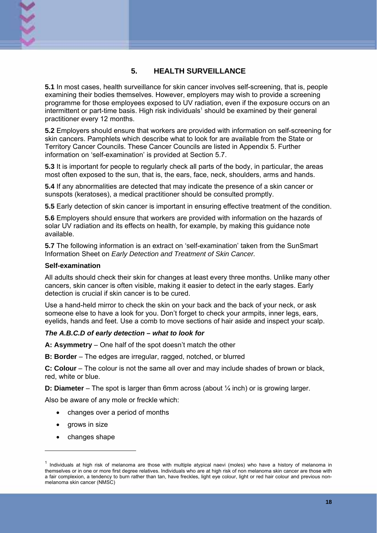#### **5. HEALTH SURVEILLANCE**

**5.1** In most cases, health surveillance for skin cancer involves self-screening, that is, people examining their bodies themselves. However, employers may wish to provide a screening programme for those employees exposed to UV radiation, even if the exposure occurs on an intermittent or part-time basis. High risk individuals<sup>1</sup> should be examined by their general practitioner every 12 months.

**5.2** Employers should ensure that workers are provided with information on self-screening for skin cancers. Pamphlets which describe what to look for are available from the State or Territory Cancer Councils. These Cancer Councils are listed in Appendix 5. Further information on 'self-examination' is provided at Section 5.7.

**5.3** It is important for people to regularly check all parts of the body, in particular, the areas most often exposed to the sun, that is, the ears, face, neck, shoulders, arms and hands.

**5.4** If any abnormalities are detected that may indicate the presence of a skin cancer or sunspots (keratoses), a medical practitioner should be consulted promptly.

**5.5** Early detection of skin cancer is important in ensuring effective treatment of the condition.

**5.6** Employers should ensure that workers are provided with information on the hazards of solar UV radiation and its effects on health, for example, by making this guidance note available.

**5.7** The following information is an extract on 'self-examination' taken from the SunSmart Information Sheet on *Early Detection and Treatment of Skin Cancer.* 

#### **Self-examination**

All adults should check their skin for changes at least every three months. Unlike many other cancers, skin cancer is often visible, making it easier to detect in the early stages. Early detection is crucial if skin cancer is to be cured.

Use a hand-held mirror to check the skin on your back and the back of your neck, or ask someone else to have a look for you. Don't forget to check your armpits, inner legs, ears, eyelids, hands and feet. Use a comb to move sections of hair aside and inspect your scalp.

#### *The A.B.C.D of early detection – what to look for*

**A: Asymmetry** – One half of the spot doesn't match the other

**B: Border** – The edges are irregular, ragged, notched, or blurred

**C: Colour** – The colour is not the same all over and may include shades of brown or black, red, white or blue.

**D: Diameter** – The spot is larger than 6mm across (about <sup>1</sup>/<sub>4</sub> inch) or is growing larger.

Also be aware of any mole or freckle which:

- changes over a period of months
- grows in size

-

• changes shape

 $1$  Individuals at high risk of melanoma are those with multiple atypical naevi (moles) who have a history of melanoma in themselves or in one or more first degree relatives. Individuals who are at high risk of non melanoma skin cancer are those with a fair complexion, a tendency to burn rather than tan, have freckles, light eye colour, light or red hair colour and previous nonmelanoma skin cancer (NMSC)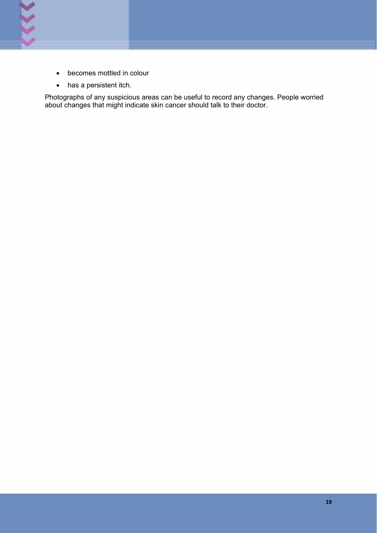

- becomes mottled in colour
- has a persistent itch.

Photographs of any suspicious areas can be useful to record any changes. People worried about changes that might indicate skin cancer should talk to their doctor.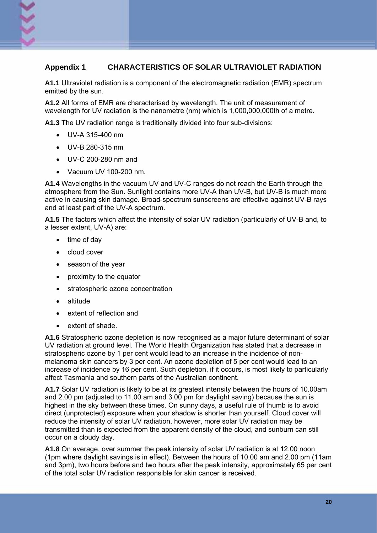#### **Appendix 1 CHARACTERISTICS OF SOLAR ULTRAVIOLET RADIATION**

**A1.1** Ultraviolet radiation is a component of the electromagnetic radiation (EMR) spectrum emitted by the sun.

**A1.2** All forms of EMR are characterised by wavelength. The unit of measurement of wavelength for UV radiation is the nanometre (nm) which is 1,000,000,000th of a metre.

**A1.3** The UV radiation range is traditionally divided into four sub-divisions:

- UV-A 315-400 nm
- UV-B 280-315 nm
- UV-C 200-280 nm and
- Vacuum UV 100-200 nm.

**A1.4** Wavelengths in the vacuum UV and UV-C ranges do not reach the Earth through the atmosphere from the Sun. Sunlight contains more UV-A than UV-B, but UV-B is much more active in causing skin damage. Broad-spectrum sunscreens are effective against UV-B rays and at least part of the UV-A spectrum.

**A1.5** The factors which affect the intensity of solar UV radiation (particularly of UV-B and, to a lesser extent, UV-A) are:

- time of day
- cloud cover
- season of the year
- proximity to the equator
- stratospheric ozone concentration
- altitude
- extent of reflection and
- extent of shade.

**A1.6** Stratospheric ozone depletion is now recognised as a major future determinant of solar UV radiation at ground level. The World Health Organization has stated that a decrease in stratospheric ozone by 1 per cent would lead to an increase in the incidence of nonmelanoma skin cancers by 3 per cent. An ozone depletion of 5 per cent would lead to an increase of incidence by 16 per cent. Such depletion, if it occurs, is most likely to particularly affect Tasmania and southern parts of the Australian continent.

**A1.7** Solar UV radiation is likely to be at its greatest intensity between the hours of 10.00am and 2.00 pm (adjusted to 11.00 am and 3.00 pm for daylight saving) because the sun is highest in the sky between these times. On sunny days, a useful rule of thumb is to avoid direct (unprotected) exposure when your shadow is shorter than yourself. Cloud cover will reduce the intensity of solar UV radiation, however, more solar UV radiation may be transmitted than is expected from the apparent density of the cloud, and sunburn can still occur on a cloudy day.

**A1.8** On average, over summer the peak intensity of solar UV radiation is at 12.00 noon (1pm where daylight savings is in effect). Between the hours of 10.00 am and 2.00 pm (11am and 3pm), two hours before and two hours after the peak intensity, approximately 65 per cent of the total solar UV radiation responsible for skin cancer is received.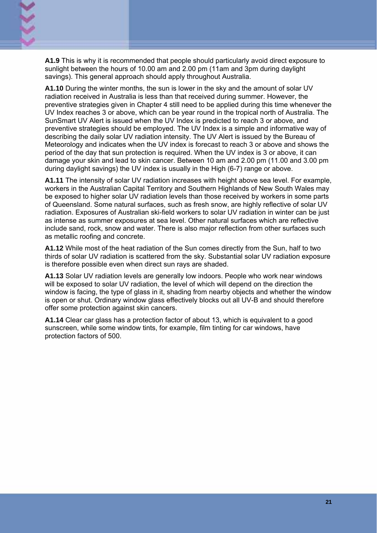**A1.9** This is why it is recommended that people should particularly avoid direct exposure to sunlight between the hours of 10.00 am and 2.00 pm (11am and 3pm during daylight savings). This general approach should apply throughout Australia.

**A1.10** During the winter months, the sun is lower in the sky and the amount of solar UV radiation received in Australia is less than that received during summer. However, the preventive strategies given in Chapter 4 still need to be applied during this time whenever the UV Index reaches 3 or above, which can be year round in the tropical north of Australia. The SunSmart UV Alert is issued when the UV Index is predicted to reach 3 or above, and preventive strategies should be employed. The UV Index is a simple and informative way of describing the daily solar UV radiation intensity. The UV Alert is issued by the Bureau of Meteorology and indicates when the UV index is forecast to reach 3 or above and shows the period of the day that sun protection is required. When the UV index is 3 or above, it can damage your skin and lead to skin cancer. Between 10 am and 2.00 pm (11.00 and 3.00 pm during daylight savings) the UV index is usually in the High (6-7) range or above.

**A1.11** The intensity of solar UV radiation increases with height above sea level. For example, workers in the Australian Capital Territory and Southern Highlands of New South Wales may be exposed to higher solar UV radiation levels than those received by workers in some parts of Queensland. Some natural surfaces, such as fresh snow, are highly reflective of solar UV radiation. Exposures of Australian ski-field workers to solar UV radiation in winter can be just as intense as summer exposures at sea level. Other natural surfaces which are reflective include sand, rock, snow and water. There is also major reflection from other surfaces such as metallic roofing and concrete.

**A1.12** While most of the heat radiation of the Sun comes directly from the Sun, half to two thirds of solar UV radiation is scattered from the sky. Substantial solar UV radiation exposure is therefore possible even when direct sun rays are shaded.

**A1.13** Solar UV radiation levels are generally low indoors. People who work near windows will be exposed to solar UV radiation, the level of which will depend on the direction the window is facing, the type of glass in it, shading from nearby objects and whether the window is open or shut. Ordinary window glass effectively blocks out all UV-B and should therefore offer some protection against skin cancers.

**A1.14** Clear car glass has a protection factor of about 13, which is equivalent to a good sunscreen, while some window tints, for example, film tinting for car windows, have protection factors of 500.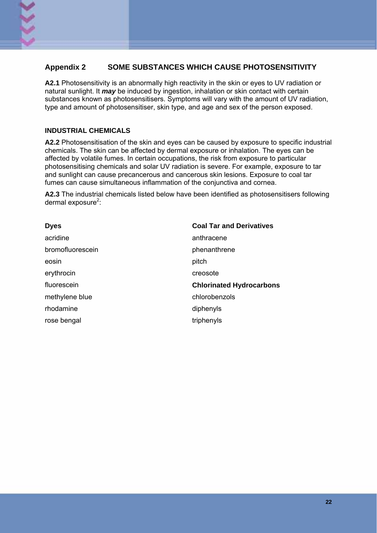#### **Appendix 2 SOME SUBSTANCES WHICH CAUSE PHOTOSENSITIVITY**

**A2.1** Photosensitivity is an abnormally high reactivity in the skin or eyes to UV radiation or natural sunlight. It *may* be induced by ingestion, inhalation or skin contact with certain substances known as photosensitisers. Symptoms will vary with the amount of UV radiation, type and amount of photosensitiser, skin type, and age and sex of the person exposed.

#### **INDUSTRIAL CHEMICALS**

**A2.2** Photosensitisation of the skin and eyes can be caused by exposure to specific industrial chemicals. The skin can be affected by dermal exposure or inhalation. The eyes can be affected by volatile fumes. In certain occupations, the risk from exposure to particular photosensitising chemicals and solar UV radiation is severe. For example, exposure to tar and sunlight can cause precancerous and cancerous skin lesions. Exposure to coal tar fumes can cause simultaneous inflammation of the conjunctiva and cornea.

**A2.3** The industrial chemicals listed below have been identified as photosensitisers following dermal exposure<sup>2</sup>:

| <b>Dyes</b>      | <b>Coal Tar and Derivatives</b> |
|------------------|---------------------------------|
| acridine         | anthracene                      |
| bromofluorescein | phenanthrene                    |
| eosin            | pitch                           |
| erythrocin       | creosote                        |
| fluorescein      | <b>Chlorinated Hydrocarbons</b> |
| methylene blue   | chlorobenzols                   |
| rhodamine        | diphenyls                       |
| rose bengal      | triphenyls                      |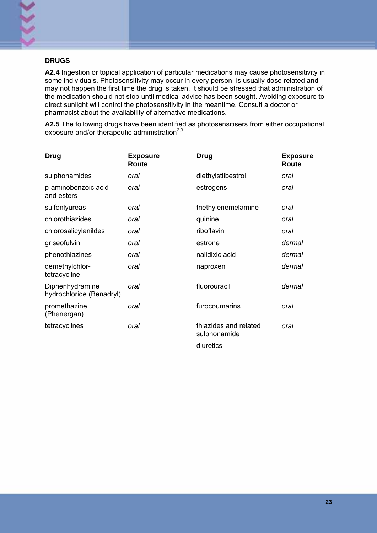#### **DRUGS**

**A2.4** Ingestion or topical application of particular medications may cause photosensitivity in some individuals. Photosensitivity may occur in every person, is usually dose related and may not happen the first time the drug is taken. It should be stressed that administration of the medication should not stop until medical advice has been sought. Avoiding exposure to direct sunlight will control the photosensitivity in the meantime. Consult a doctor or pharmacist about the availability of alternative medications.

**A2.5** The following drugs have been identified as photosensitisers from either occupational exposure and/or therapeutic administration $2.3$ :

| <b>Drug</b>                                 | <b>Exposure</b><br>Route | <b>Drug</b>                           | <b>Exposure</b><br>Route |
|---------------------------------------------|--------------------------|---------------------------------------|--------------------------|
| sulphonamides                               | oral                     | diethylstilbestrol                    | oral                     |
| p-aminobenzoic acid<br>and esters           | oral                     | estrogens                             | oral                     |
| sulfonlyureas                               | oral                     | triethylenemelamine                   | oral                     |
| chlorothiazides                             | oral                     | quinine                               | oral                     |
| chlorosalicylanildes                        | oral                     | riboflavin                            | oral                     |
| griseofulvin                                | oral                     | estrone                               | dermal                   |
| phenothiazines                              | oral                     | nalidixic acid                        | dermal                   |
| demethylchlor-<br>tetracycline              | oral                     | naproxen                              | dermal                   |
| Diphenhydramine<br>hydrochloride (Benadryl) | oral                     | fluorouracil                          | dermal                   |
| promethazine<br>(Phenergan)                 | oral                     | furocoumarins                         | oral                     |
| tetracyclines                               | oral                     | thiazides and related<br>sulphonamide | oral                     |
|                                             |                          | diuretics                             |                          |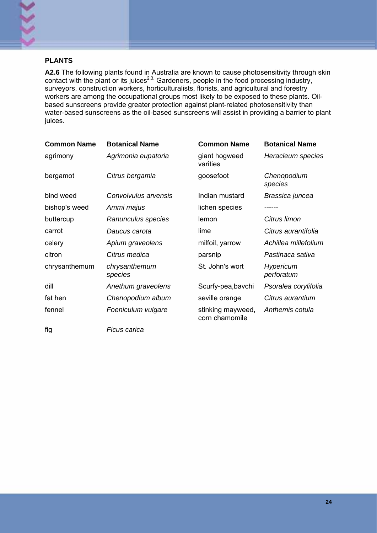

#### **PLANTS**

**A2.6** The following plants found in Australia are known to cause photosensitivity through skin contact with the plant or its juices<sup>2,3.</sup> Gardeners, people in the food processing industry, surveyors, construction workers, horticulturalists, florists, and agricultural and forestry workers are among the occupational groups most likely to be exposed to these plants. Oilbased sunscreens provide greater protection against plant-related photosensitivity than water-based sunscreens as the oil-based sunscreens will assist in providing a barrier to plant juices.

| <b>Common Name</b> | <b>Botanical Name</b>    | <b>Common Name</b>                  | <b>Botanical Name</b>   |
|--------------------|--------------------------|-------------------------------------|-------------------------|
| agrimony           | Agrimonia eupatoria      | giant hogweed<br>varities           | Heracleum species       |
| bergamot           | Citrus bergamia          | goosefoot                           | Chenopodium<br>species  |
| bind weed          | Convolvulus arvensis     | Indian mustard                      | Brassica juncea         |
| bishop's weed      | Ammi majus               | lichen species                      | ------                  |
| buttercup          | Ranunculus species       | lemon                               | Citrus limon            |
| carrot             | Daucus carota            | lime                                | Citrus aurantifolia     |
| celery             | Apium graveolens         | milfoil, yarrow                     | Achillea millefolium    |
| citron             | Citrus medica            | parsnip                             | Pastinaca sativa        |
| chrysanthemum      | chrysanthemum<br>species | St. John's wort                     | Hypericum<br>perforatum |
| dill               | Anethum graveolens       | Scurfy-pea, bavchi                  | Psoralea corylifolia    |
| fat hen            | Chenopodium album        | seville orange                      | Citrus aurantium        |
| fennel             | Foeniculum vulgare       | stinking mayweed,<br>corn chamomile | Anthemis cotula         |
| fig                | Ficus carica             |                                     |                         |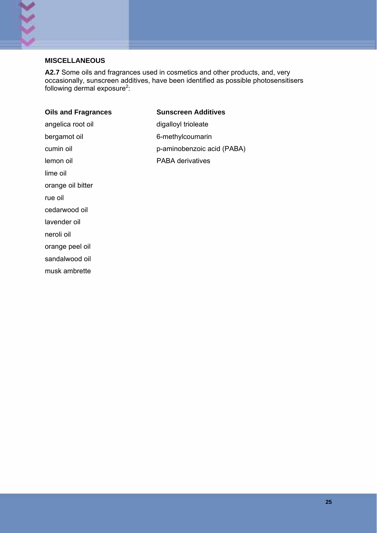#### **MISCELLANEOUS**

٢

**A2.7** Some oils and fragrances used in cosmetics and other products, and, very occasionally, sunscreen additives, have been identified as possible photosensitisers following dermal exposure<sup>2</sup>:

| <b>Oils and Fragrances</b> | <b>Sunscreen Additives</b> |
|----------------------------|----------------------------|
| angelica root oil          | digalloyl trioleate        |
| bergamot oil               | 6-methylcoumarin           |
| cumin oil                  | p-aminobenzoic acid (PABA) |
| lemon oil                  | <b>PABA derivatives</b>    |
| lime oil                   |                            |
| orange oil bitter          |                            |
| rue oil                    |                            |
| cedarwood oil              |                            |
| lavender oil               |                            |
| neroli oil                 |                            |
| orange peel oil            |                            |
| sandalwood oil             |                            |
| musk ambrette              |                            |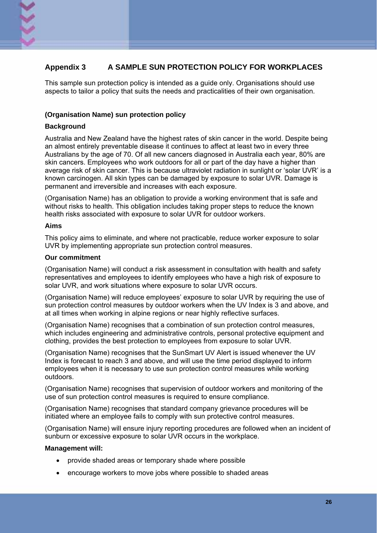#### **Appendix 3 A SAMPLE SUN PROTECTION POLICY FOR WORKPLACES**

This sample sun protection policy is intended as a guide only. Organisations should use aspects to tailor a policy that suits the needs and practicalities of their own organisation.

#### **(Organisation Name) sun protection policy**

#### **Background**

Australia and New Zealand have the highest rates of skin cancer in the world. Despite being an almost entirely preventable disease it continues to affect at least two in every three Australians by the age of 70. Of all new cancers diagnosed in Australia each year, 80% are skin cancers. Employees who work outdoors for all or part of the day have a higher than average risk of skin cancer. This is because ultraviolet radiation in sunlight or 'solar UVR' is a known carcinogen. All skin types can be damaged by exposure to solar UVR. Damage is permanent and irreversible and increases with each exposure.

(Organisation Name) has an obligation to provide a working environment that is safe and without risks to health. This obligation includes taking proper steps to reduce the known health risks associated with exposure to solar UVR for outdoor workers.

#### **Aims**

This policy aims to eliminate, and where not practicable, reduce worker exposure to solar UVR by implementing appropriate sun protection control measures.

#### **Our commitment**

(Organisation Name) will conduct a risk assessment in consultation with health and safety representatives and employees to identify employees who have a high risk of exposure to solar UVR, and work situations where exposure to solar UVR occurs.

(Organisation Name) will reduce employees' exposure to solar UVR by requiring the use of sun protection control measures by outdoor workers when the UV Index is 3 and above, and at all times when working in alpine regions or near highly reflective surfaces.

(Organisation Name) recognises that a combination of sun protection control measures, which includes engineering and administrative controls, personal protective equipment and clothing, provides the best protection to employees from exposure to solar UVR.

(Organisation Name) recognises that the SunSmart UV Alert is issued whenever the UV Index is forecast to reach 3 and above, and will use the time period displayed to inform employees when it is necessary to use sun protection control measures while working outdoors.

(Organisation Name) recognises that supervision of outdoor workers and monitoring of the use of sun protection control measures is required to ensure compliance.

(Organisation Name) recognises that standard company grievance procedures will be initiated where an employee fails to comply with sun protective control measures.

(Organisation Name) will ensure injury reporting procedures are followed when an incident of sunburn or excessive exposure to solar UVR occurs in the workplace.

#### **Management will:**

- provide shaded areas or temporary shade where possible
- encourage workers to move jobs where possible to shaded areas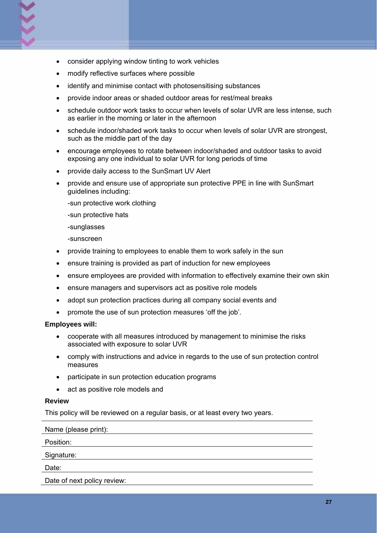- consider applying window tinting to work vehicles
- modify reflective surfaces where possible
- identify and minimise contact with photosensitising substances
- provide indoor areas or shaded outdoor areas for rest/meal breaks
- schedule outdoor work tasks to occur when levels of solar UVR are less intense, such as earlier in the morning or later in the afternoon
- schedule indoor/shaded work tasks to occur when levels of solar UVR are strongest, such as the middle part of the day
- encourage employees to rotate between indoor/shaded and outdoor tasks to avoid exposing any one individual to solar UVR for long periods of time
- provide daily access to the SunSmart UV Alert
- provide and ensure use of appropriate sun protective PPE in line with SunSmart guidelines including:

-sun protective work clothing

-sun protective hats

-sunglasses

-sunscreen

- provide training to employees to enable them to work safely in the sun
- ensure training is provided as part of induction for new employees
- ensure employees are provided with information to effectively examine their own skin
- ensure managers and supervisors act as positive role models
- adopt sun protection practices during all company social events and
- promote the use of sun protection measures 'off the job'.

#### **Employees will:**

- cooperate with all measures introduced by management to minimise the risks associated with exposure to solar UVR
- comply with instructions and advice in regards to the use of sun protection control measures
- participate in sun protection education programs
- act as positive role models and

#### **Review**

This policy will be reviewed on a regular basis, or at least every two years.

Name (please print):

Position:

Signature:

Date:

Date of next policy review: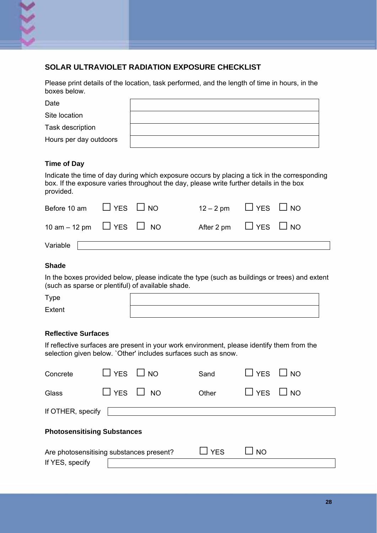

## **SOLAR ULTRAVIOLET RADIATION EXPOSURE CHECKLIST**

Please print details of the location, task performed, and the length of time in hours, in the boxes below.

| Date                   |  |
|------------------------|--|
| Site location          |  |
| Task description       |  |
| Hours per day outdoors |  |

#### **Time of Day**

Indicate the time of day during which exposure occurs by placing a tick in the corresponding box. If the exposure varies throughout the day, please write further details in the box provided.

| Before 10 am $\Box$ YES $\Box$ NO |                                    | $12 - 2 \text{ pm}$ $\Box$ YES $\Box$ NO |  |
|-----------------------------------|------------------------------------|------------------------------------------|--|
|                                   | 10 am – 12 pm $\Box$ YES $\Box$ NO | After 2 pm $\Box$ YES $\Box$ NO          |  |
| Variable                          |                                    |                                          |  |

#### **Shade**

In the boxes provided below, please indicate the type (such as buildings or trees) and extent (such as sparse or plentiful) of available shade.

| Type   |  |
|--------|--|
| Extent |  |

#### **Reflective Surfaces**

If reflective surfaces are present in your work environment, please identify them from the selection given below. `Other' includes surfaces such as snow.

| Concrete                                                    | $\Box$ YES $\Box$ NO |  | Sand  | $\Box$ YES $\Box$ NO |  |
|-------------------------------------------------------------|----------------------|--|-------|----------------------|--|
| Glass                                                       | $\Box$ YES $\Box$ NO |  | Other | $L$ $YES$ $L$ $NO$   |  |
| If OTHER, specify                                           |                      |  |       |                      |  |
| <b>Photosensitising Substances</b>                          |                      |  |       |                      |  |
| Are photosensitising substances present?<br>If YES, specify |                      |  | ∐ YES | I NO                 |  |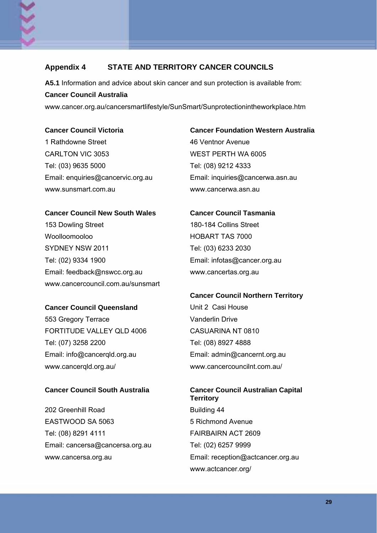## **Appendix 4 STATE AND TERRITORY CANCER COUNCILS**

**A5.1** Information and advice about skin cancer and sun protection is available from: **Cancer Council Australia** 

www.cancer.org.au/cancersmartlifestyle/SunSmart/Sunprotectionintheworkplace.htm

1 Rathdowne Street 1 2002 1 2004 46 Ventnor Avenue CARLTON VIC 3053 WEST PERTH WA 6005 Tel: (03) 9635 5000 Tel: (08) 9212 4333 www.sunsmart.com.au www.cancerwa.asn.au

#### **Cancer Council New South Wales Cancer Council Tasmania**

153 Dowling Street 180-184 Collins Street Woolloomooloo HOBART TAS 7000 SYDNEY NSW 2011 Tel: (03) 6233 2030 Tel: (02) 9334 1900 Email: infotas@cancer.org.au Email: feedback@nswcc.org.au www.cancertas.org.au www.cancercouncil.com.au/sunsmart

#### **Cancer Council Queensland Unit 2 Casi House**

553 Gregory Terrace Vanderlin Drive FORTITUDE VALLEY QLD 4006 CASUARINA NT 0810 Tel: (07) 3258 2200 Tel: (08) 8927 4888 Email: info@cancerqld.org.au Email: admin@cancernt.org.au www.cancerqld.org.au/ www.cancercouncilnt.com.au/

202 Greenhill Road Building 44 EASTWOOD SA 5063 5 5 Richmond Avenue Tel: (08) 8291 4111 **FAIRBAIRN ACT 2609** Email: cancersa@cancersa.org.au Tel: (02) 6257 9999

## **Cancer Council Victoria Cancer Foundation Western Australia**

Email: enquiries@cancervic.org.au Email: inquiries@cancerwa.asn.au

# **Cancer Council Northern Territory**

## **Cancer Council South Australia Cancer Council Australian Capital Territory** www.cancersa.org.au Email: reception@actcancer.org.au www.actcancer.org/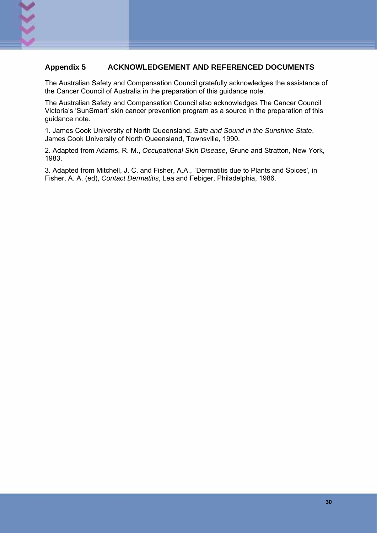#### **Appendix 5 ACKNOWLEDGEMENT AND REFERENCED DOCUMENTS**

The Australian Safety and Compensation Council gratefully acknowledges the assistance of the Cancer Council of Australia in the preparation of this guidance note.

The Australian Safety and Compensation Council also acknowledges The Cancer Council Victoria's 'SunSmart' skin cancer prevention program as a source in the preparation of this guidance note.

1. James Cook University of North Queensland, *Safe and Sound in the Sunshine State*, James Cook University of North Queensland, Townsville, 1990.

2. Adapted from Adams, R. M., *Occupational Skin Disease*, Grune and Stratton, New York, 1983.

3. Adapted from Mitchell, J. C. and Fisher, A.A., `Dermatitis due to Plants and Spices', in Fisher, A. A. (ed), *Contact Dermatitis*, Lea and Febiger, Philadelphia, 1986.